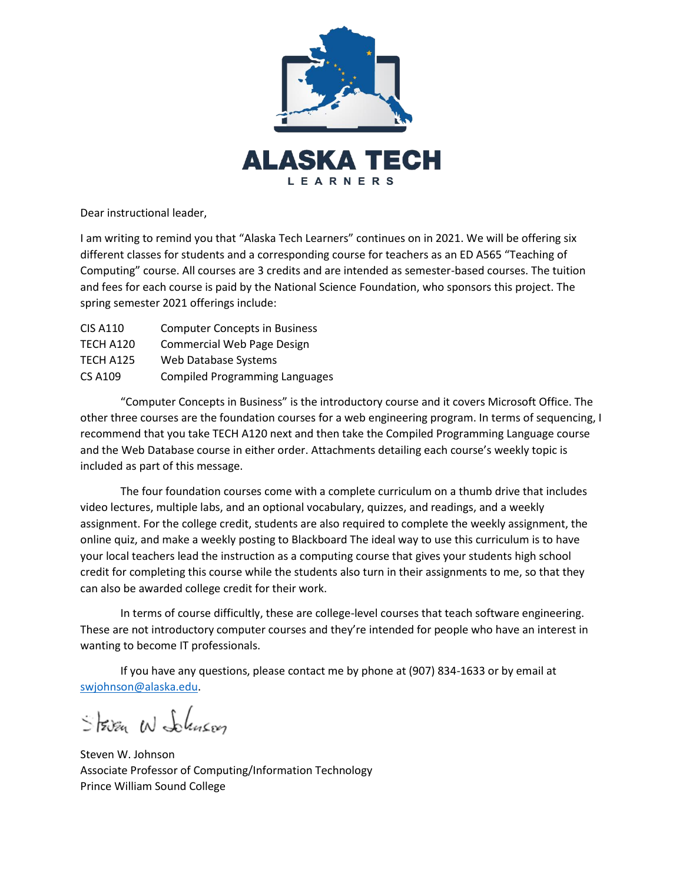

Dear instructional leader,

I am writing to remind you that "Alaska Tech Learners" continues on in 2021. We will be offering six different classes for students and a corresponding course for teachers as an ED A565 "Teaching of Computing" course. All courses are 3 credits and are intended as semester-based courses. The tuition and fees for each course is paid by the National Science Foundation, who sponsors this project. The spring semester 2021 offerings include:

| <b>CIS A110</b> | <b>Computer Concepts in Business</b>  |
|-----------------|---------------------------------------|
| TECH A120       | <b>Commercial Web Page Design</b>     |
| TECH A125       | Web Database Systems                  |
| <b>CS A109</b>  | <b>Compiled Programming Languages</b> |

"Computer Concepts in Business" is the introductory course and it covers Microsoft Office. The other three courses are the foundation courses for a web engineering program. In terms of sequencing, I recommend that you take TECH A120 next and then take the Compiled Programming Language course and the Web Database course in either order. Attachments detailing each course's weekly topic is included as part of this message.

The four foundation courses come with a complete curriculum on a thumb drive that includes video lectures, multiple labs, and an optional vocabulary, quizzes, and readings, and a weekly assignment. For the college credit, students are also required to complete the weekly assignment, the online quiz, and make a weekly posting to Blackboard The ideal way to use this curriculum is to have your local teachers lead the instruction as a computing course that gives your students high school credit for completing this course while the students also turn in their assignments to me, so that they can also be awarded college credit for their work.

In terms of course difficultly, these are college-level courses that teach software engineering. These are not introductory computer courses and they're intended for people who have an interest in wanting to become IT professionals.

If you have any questions, please contact me by phone at (907) 834-1633 or by email at [swjohnson@alaska.edu.](mailto:swjohnson@alaska.edu)

String W Schneer

Steven W. Johnson Associate Professor of Computing/Information Technology Prince William Sound College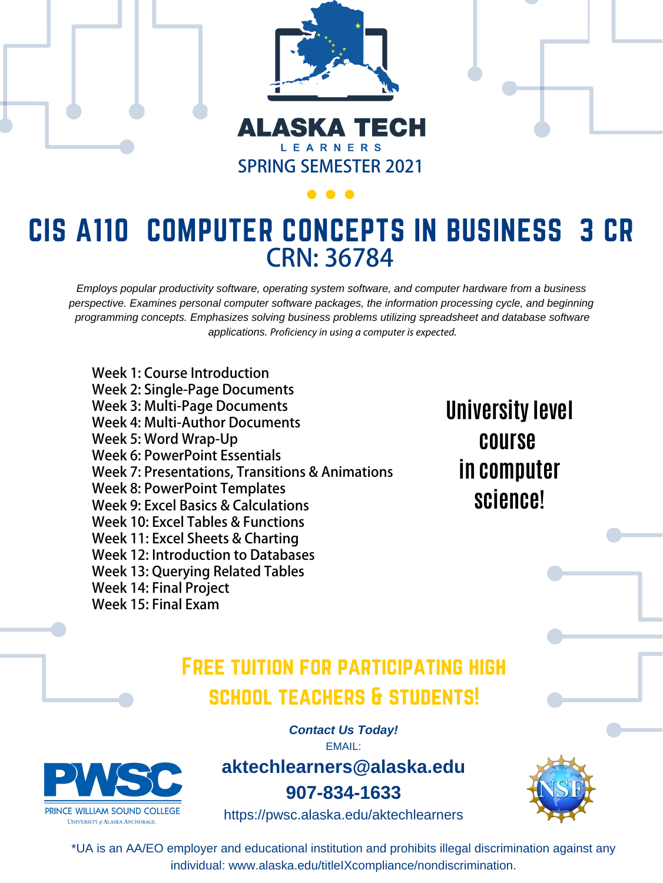

### ALASKA TECH LEARNERS **SPRING SEMESTER 2021**

## FREE TUITION FOR PARTICIPATING HIGH school teachers & students!

\*UA is an AA/EO employer and educational institution and prohibits illegal discrimination against any individual: www.alaska.edu/titleIXcompliance/nondiscrimination.

*Contact Us Today!*





**aktechlearners@alaska.edu**

**907-834-1633**

https://pwsc.alaska.edu/aktechlearners



## **University level course**

## CIS A110 COMPUTER CONCEPTS IN BUSINESS 3 CR **CRN: 36784**

## **in computer science!**

*Employs popular productivity software, operating system software, and computer hardware from a business perspective. Examines personal computer software packages, the information processing cycle, and beginning programming concepts. Emphasizes solving business problems utilizing spreadsheet and database software applications.* Proficiency in using a computer is expected.

**Week 1: Course Introduction Week 2: Single-Page Documents Week 3: Multi-Page Documents Week 4: Multi-Author Documents Week 5: Word Wrap-Up Week 6: PowerPoint Essentials Week 7: Presentations, Transitions & Animations Week 8: PowerPoint Templates Week 9: Excel Basics & Calculations Week 10: Excel Tables & Functions Week 11: Excel Sheets & Charting Week 12: Introduction to Databases Week 13: Querying Related Tables Week 14: Final Project Week 15: Final Exam**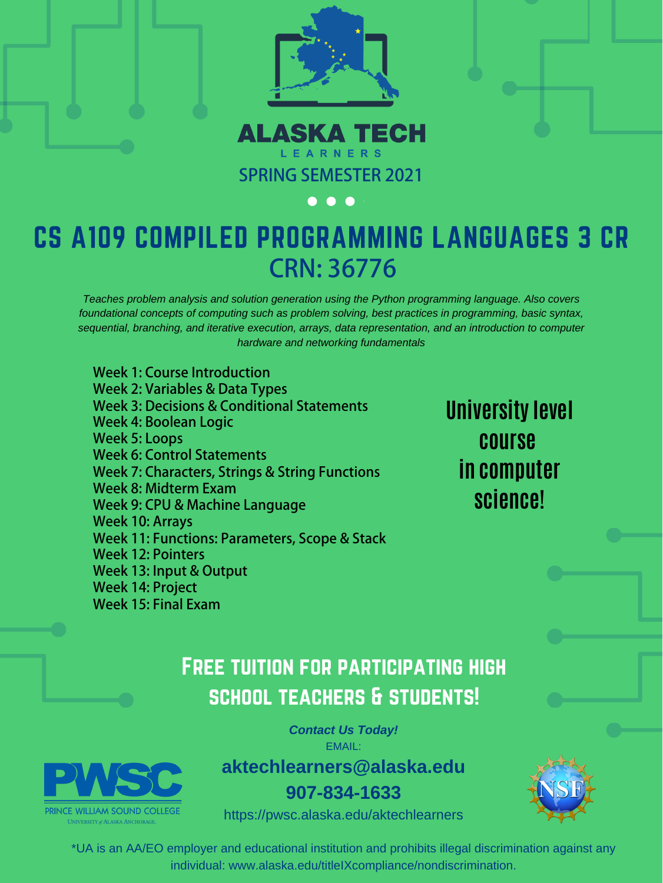

### **ALASKA TECH** LEARNERS **SPRING SEMESTER 2021**

#### $\bullet$  $\bigodot$

## FREE TUITION FOR PARTICIPATING HIGH school teachers & students!

\*UA is an AA/EO employer and educational institution and prohibits illegal discrimination against any individual: www.alaska.edu/titleIXcompliance/nondiscrimination.

*Contact Us Today!* EMAIL:



**aktechlearners@alaska.edu**

**907-834-1633**

https://pwsc.alaska.edu/aktechlearners



# CS A109 COMPILED PROGRAMMING LANGUAGES 3 CR **CRN: 36776**

**University level course** 

## **in computer science!**

*Teaches problem analysis and solution generation using the Python programming language. Also covers foundational concepts of computing such as problem solving, best practices in programming, basic syntax, sequential, branching, and iterative execution, arrays, data representation, and an introduction to computer hardware and networking fundamentals*

**Week 1: Course Introduction Week 2: Variables & Data Types Week 3: Decisions & Conditional Statements Week 4: Boolean Logic Week 5: Loops Week 6: Control Statements Week 7: Characters, Strings & String Functions Week 8: Midterm Exam Week 9: CPU & Machine Language Week 10: Arrays Week 11: Functions: Parameters, Scope & Stack Week 12: Pointers Week 13: Input & Output Week 14: Project Week 15: Final Exam**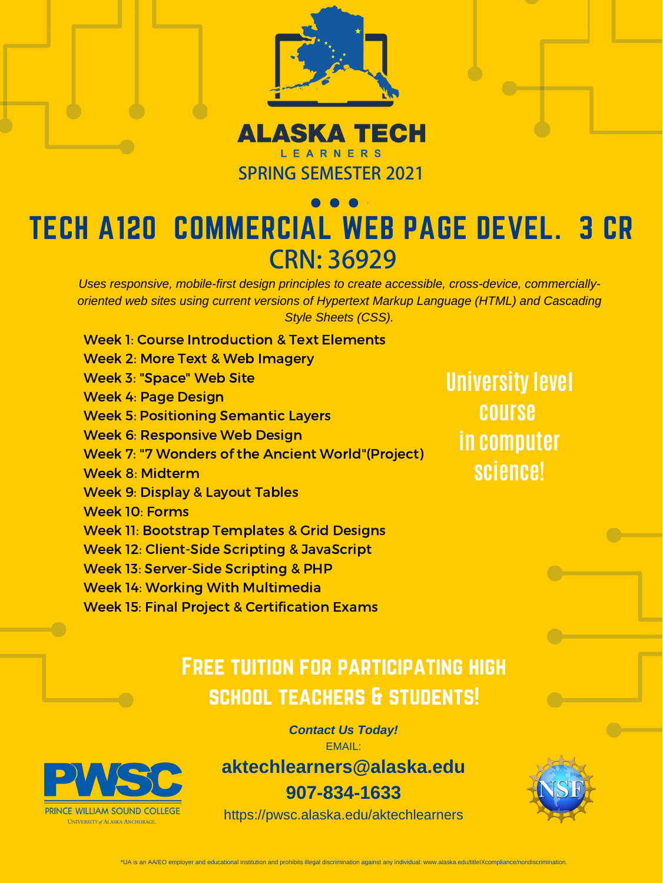

# ALASKA TECH **SPRING SEMESTER 2021**

\*UA is an AA/EO employer and educational institution and prohibits illegal discrimination against any individual: www.alaska.edu/titleIXcompliance/nondiscrimination.

## Free tuition for participating high school teachers & students!

*Contact Us Today!* EMAIL:



**aktechlearners@alaska.edu**

**907-834-1633**

https://pwsc.alaska.edu/aktechlearners

![](_page_3_Picture_19.jpeg)

Week 1: Course Introduction & Text Elements

Week 2: More Text & Web Imagery

Week 3: "Space" Web Site

Week 4: Page Design

Week 5: Positioning Semantic Layers

Week 6: Responsive Web Design

# TECH A120 COMMERCIAL WEB PAGE DEVEL. 3 CR **CRN: 36929**

Week 7: "7 Wonders of the Ancient World"(Project)

Week 8: Midterm Week 9: Display & Layout Tables Week 10: Forms Week 11: Bootstrap Templates & Grid Designs Week 12: Client-Side Scripting & JavaScript Week 13: Server-Side Scripting & PHP Week 14: Working With Multimedia Week 15: Final Project & Certification Exams

**University level course in computer**

## **science!**

*Uses responsive, mobile-first design principles to create accessible, cross-device, commerciallyoriented web sites using current versions of Hypertext Markup Language (HTML) and Cascading Style Sheets (CSS).*